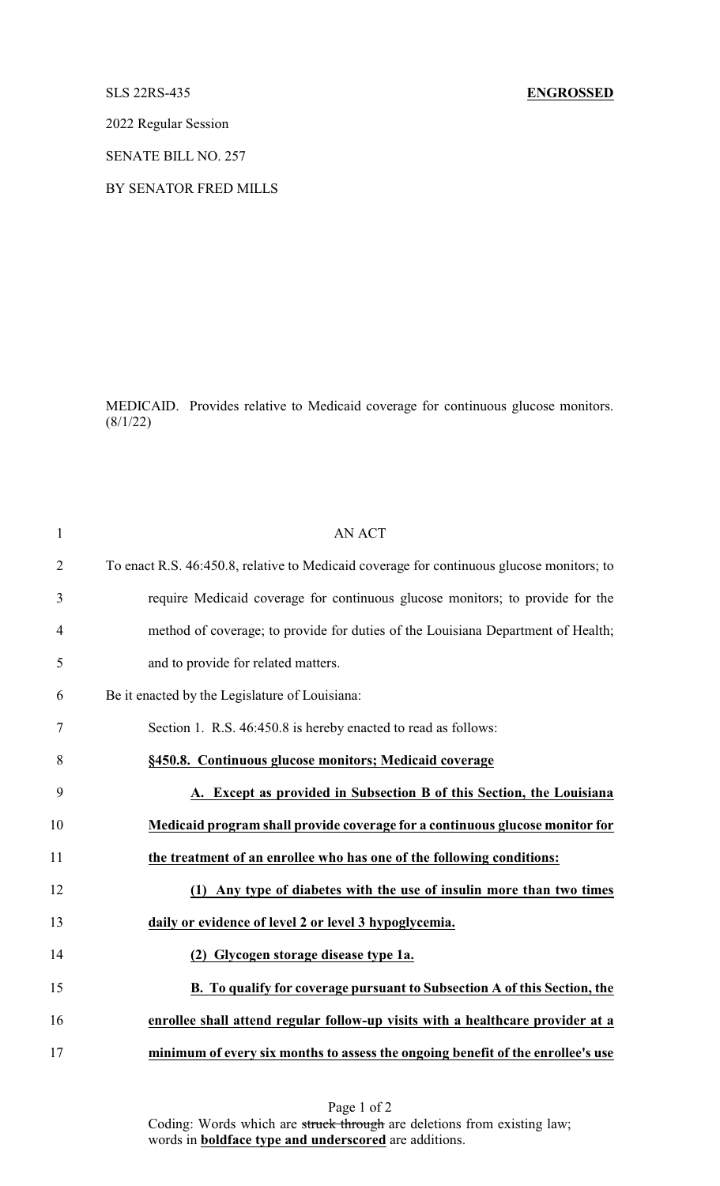## SLS 22RS-435 **ENGROSSED**

2022 Regular Session

SENATE BILL NO. 257

BY SENATOR FRED MILLS

MEDICAID. Provides relative to Medicaid coverage for continuous glucose monitors.  $(8/1/22)$ 

| $\mathbf{1}$   | <b>AN ACT</b>                                                                             |
|----------------|-------------------------------------------------------------------------------------------|
| $\overline{2}$ | To enact R.S. 46:450.8, relative to Medicaid coverage for continuous glucose monitors; to |
| 3              | require Medicaid coverage for continuous glucose monitors; to provide for the             |
| $\overline{4}$ | method of coverage; to provide for duties of the Louisiana Department of Health;          |
| 5              | and to provide for related matters.                                                       |
| 6              | Be it enacted by the Legislature of Louisiana:                                            |
| $\tau$         | Section 1. R.S. 46:450.8 is hereby enacted to read as follows:                            |
| 8              | §450.8. Continuous glucose monitors; Medicaid coverage                                    |
| 9              | A. Except as provided in Subsection B of this Section, the Louisiana                      |
| 10             | Medicaid program shall provide coverage for a continuous glucose monitor for              |
| 11             | the treatment of an enrollee who has one of the following conditions:                     |
| 12             | Any type of diabetes with the use of insulin more than two times<br>(1)                   |
| 13             | daily or evidence of level 2 or level 3 hypoglycemia.                                     |
| 14             | (2) Glycogen storage disease type 1a.                                                     |
| 15             | B. To qualify for coverage pursuant to Subsection A of this Section, the                  |
| 16             | enrollee shall attend regular follow-up visits with a healthcare provider at a            |
| 17             | minimum of every six months to assess the ongoing benefit of the enrollee's use           |

Page 1 of 2 Coding: Words which are struck through are deletions from existing law; words in **boldface type and underscored** are additions.